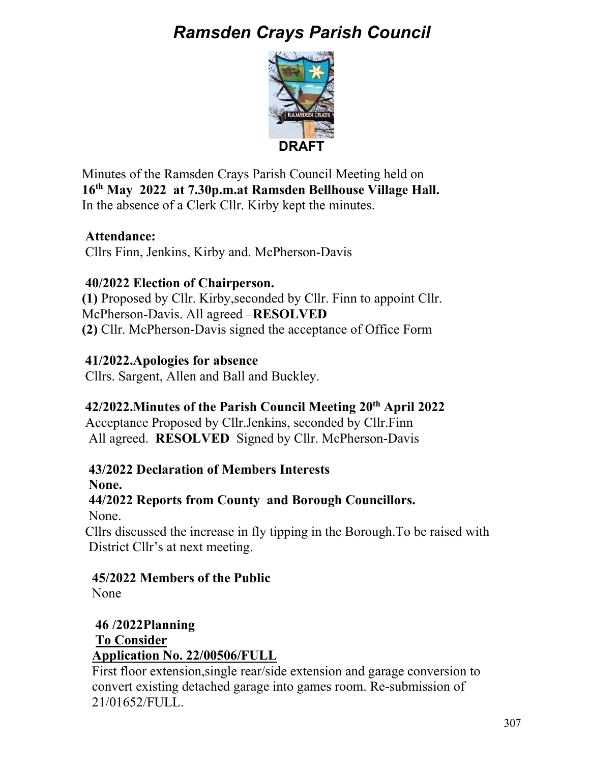# *Ramsden Crays Parish Council*



Minutes of the Ramsden Crays Parish Council Meeting held on **16th May 2022 at 7.30p.m.at Ramsden Bellhouse Village Hall.**  In the absence of a Clerk Cllr. Kirby kept the minutes.

# **Attendance:**

Cllrs Finn, Jenkins, Kirby and. McPherson-Davis

# **40/2022 Election of Chairperson.**

**(1)** Proposed by Cllr. Kirby,seconded by Cllr. Finn to appoint Cllr. McPherson-Davis. All agreed –**RESOLVED (2)** Cllr. McPherson-Davis signed the acceptance of Office Form

# **41/2022.Apologies for absence**

Cllrs. Sargent, Allen and Ball and Buckley.

## **42/2022.Minutes of the Parish Council Meeting 20th April 2022**

Acceptance Proposed by Cllr.Jenkins, seconded by Cllr.Finn All agreed. **RESOLVED** Signed by Cllr. McPherson-Davis

## **43/2022 Declaration of Members Interests**

 **None.** 

# **44/2022 Reports from County and Borough Councillors.**

None.

 Cllrs discussed the increase in fly tipping in the Borough.To be raised with District Cllr's at next meeting.

## **45/2022 Members of the Public**

None

### **46 /2022Planning To Consider Application No. 22/00506/FULL**

 First floor extension,single rear/side extension and garage conversion to convert existing detached garage into games room. Re-submission of 21/01652/FULL.